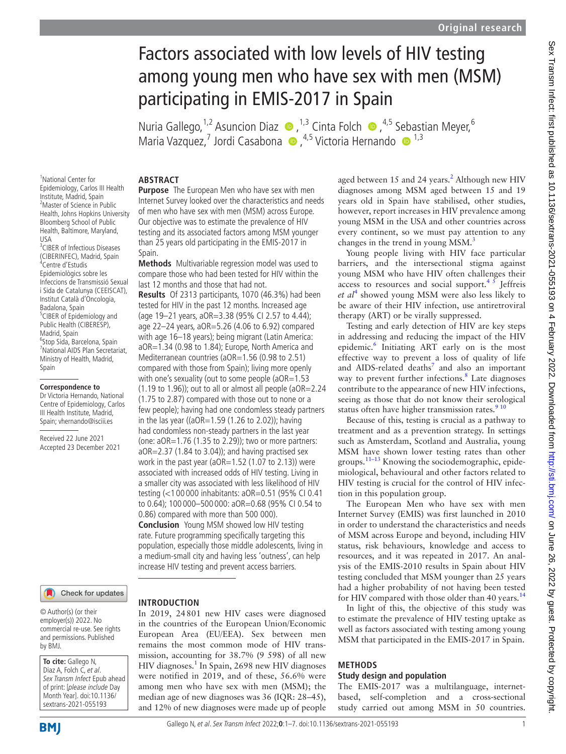# Factors associated with low levels of HIV testing among young men who have sex with men (MSM) participating in EMIS-2017 in Spain

NuriaGallego,<sup>1,2</sup> Asuncion Diaz  $\bullet$ ,<sup>1,3</sup> Cinta Folch  $\bullet$ ,<sup>4,5</sup> Sebastian Meyer,<sup>6</sup> MariaVazquez,<sup>7</sup> Jordi Casabona (a.,<sup>4,5</sup> Victoria Hernando (a.,<sup>1,3</sup>)

#### **ABSTRACT Purpose** The European Men who have sex with men

Spain.

Internet Survey looked over the characteristics and needs of men who have sex with men (MSM) across Europe. Our objective was to estimate the prevalence of HIV testing and its associated factors among MSM younger than 25 years old participating in the EMIS-2017 in

**Methods** Multivariable regression model was used to compare those who had been tested for HIV within the

**Results** Of 2313 participants, 1070 (46.3%) had been tested for HIV in the past 12 months. Increased age (age 19–21 years, aOR=3.38 (95% CI 2.57 to 4.44); age 22–24 years, aOR=5.26 (4.06 to 6.92) compared with age 16–18 years); being migrant (Latin America: aOR=1.34 (0.98 to 1.84); Europe, North America and Mediterranean countries (aOR=1.56 (0.98 to 2.51) compared with those from Spain); living more openly with one's sexuality (out to some people (aOR=1.53 (1.19 to 1.96)); out to all or almost all people (aOR=2.24 (1.75 to 2.87) compared with those out to none or a few people); having had one condomless steady partners in the las year ((aOR=1.59 (1.26 to 2.02)); having had condomless non-steady partners in the last year (one: aOR=1.76 (1.35 to 2.29)); two or more partners: aOR=2.37 (1.84 to 3.04)); and having practised sex work in the past year ( $aOR=1.52$  (1.07 to 2.13)) were associated with increased odds of HIV testing. Living in a smaller city was associated with less likelihood of HIV testing (<1 00 000 inhabitants: aOR=0.51 (95% CI 0.41 to 0.64); 100 000–500 000: aOR=0.68 (95% CI 0.54 to

last 12 months and those that had not.

0.86) compared with more than 500 000). **Conclusion** Young MSM showed low HIV testing rate. Future programming specifically targeting this population, especially those middle adolescents, living in a medium-small city and having less 'outness', can help increase HIV testing and prevent access barriers.

1 National Center for Epidemiology, Carlos III Health Institute, Madrid, Spain <sup>2</sup>Master of Science in Public Health, Johns Hopkins University Bloomberg School of Public Health, Baltimore, Maryland, USA <sup>3</sup> CIBER of Infectious Diseases (CIBERINFEC), Madrid, Spain 4 Centre d'Estudis Epidemiològics sobre les Infeccions de Transmissió Sexual i Sida de Catalunya (CEEISCAT), Institut Català d'Oncologia, Badalona, Spain <sup>5</sup>CIBER of Epidemiology and Public Health (CIBERESP), Madrid, Spain <sup>6</sup>Stop Sida, Barcelona, Spain 7 National AIDS Plan Secretariat, Ministry of Health, Madrid, Spain

#### **Correspondence to**

Dr Victoria Hernando, National Centre of Epidemiology, Carlos III Health Institute, Madrid, Spain; vhernando@isciii.es

Received 22 June 2021 Accepted 23 December 2021

## Check for updates

© Author(s) (or their employer(s)) 2022. No commercial re-use. See rights and permissions. Published by BMJ.

**To cite:** Gallego N, Diaz A, Folch C, et al. Sex Transm Infect Epub ahead of print: [please include Day Month Year]. doi:10.1136/ sextrans-2021-055193

# **INTRODUCTION**

In 2019, 24801 new HIV cases were diagnosed in the countries of the European Union/Economic European Area (EU/EEA). Sex between men remains the most common mode of HIV transmission, accounting for 38.7% (9 598) of all new HIV diagnoses.<sup>[1](#page-5-0)</sup> In Spain, 2698 new HIV diagnoses were notified in 2019, and of these, 56.6% were among men who have sex with men (MSM); the median age of new diagnoses was 36 (IQR: 28–45), and 12% of new diagnoses were made up of people

aged between  $15$  and  $24$  $24$  years.<sup>2</sup> Although new HIV diagnoses among MSM aged between 15 and 19 years old in Spain have stabilised, other studies, however, report increases in HIV prevalence among young MSM in the USA and other countries across every continent, so we must pay attention to any changes in the trend in young  $MSM<sup>3</sup>$ 

Young people living with HIV face particular barriers, and the intersectional stigma against young MSM who have HIV often challenges their access to resources and social support.<sup>45</sup> Jeffreis et al<sup>[4](#page-5-3)</sup> showed young MSM were also less likely to be aware of their HIV infection, use antiretroviral therapy (ART) or be virally suppressed.

Testing and early detection of HIV are key steps in addressing and reducing the impact of the HIV epidemic.<sup>[6](#page-5-4)</sup> Initiating ART early on is the most effective way to prevent a loss of quality of life and AIDS-related deaths<sup>7</sup> and also an important way to prevent further infections.<sup>[8](#page-5-6)</sup> Late diagnoses contribute to the appearance of new HIV infections, seeing as those that do not know their serological status often have higher transmission rates. $910$ 

Because of this, testing is crucial as a pathway to treatment and as a prevention strategy. In settings such as Amsterdam, Scotland and Australia, young MSM have shown lower testing rates than other groups.[11–13](#page-6-1) Knowing the sociodemographic, epidemiological, behavioural and other factors related to HIV testing is crucial for the control of HIV infection in this population group.

The European Men who have sex with men Internet Survey (EMIS) was first launched in 2010 in order to understand the characteristics and needs of MSM across Europe and beyond, including HIV status, risk behaviours, knowledge and access to resources, and it was repeated in 2017. An analysis of the EMIS-2010 results in Spain about HIV testing concluded that MSM younger than 25 years had a higher probability of not having been tested for HIV compared with those older than 40 years.<sup>[14](#page-6-2)</sup>

In light of this, the objective of this study was to estimate the prevalence of HIV testing uptake as well as factors associated with testing among young MSM that participated in the EMIS-2017 in Spain.

# **METHODS**

## **Study design and population**

The EMIS-2017 was a multilanguage, internetbased, self-completion and a cross-sectional study carried out among MSM in 50 countries.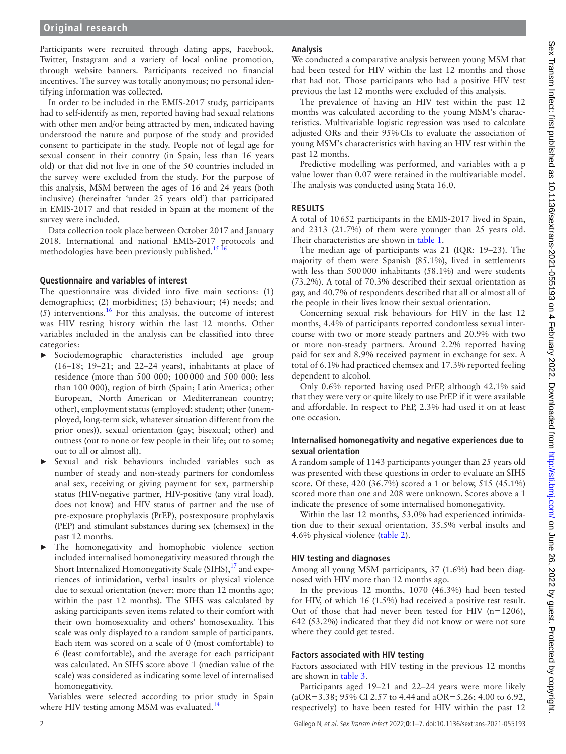Participants were recruited through dating apps, Facebook, Twitter, Instagram and a variety of local online promotion, through website banners. Participants received no financial incentives. The survey was totally anonymous; no personal identifying information was collected.

In order to be included in the EMIS-2017 study, participants had to self-identify as men, reported having had sexual relations with other men and/or being attracted by men, indicated having understood the nature and purpose of the study and provided consent to participate in the study. People not of legal age for sexual consent in their country (in Spain, less than 16 years old) or that did not live in one of the 50 countries included in the survey were excluded from the study. For the purpose of this analysis, MSM between the ages of 16 and 24 years (both inclusive) (hereinafter 'under 25 years old') that participated in EMIS-2017 and that resided in Spain at the moment of the survey were included.

Data collection took place between October 2017 and January 2018. International and national EMIS-2017 protocols and methodologies have been previously published.<sup>[15 16](#page-6-3)</sup>

### **Questionnaire and variables of interest**

The questionnaire was divided into five main sections: (1) demographics; (2) morbidities; (3) behaviour; (4) needs; and  $(5)$  interventions.<sup>[16](#page-6-4)</sup> For this analysis, the outcome of interest was HIV testing history within the last 12 months. Other variables included in the analysis can be classified into three categories:

- ► Sociodemographic characteristics included age group (16–18; 19–21; and 22–24 years), inhabitants at place of residence (more than 500 000; 100000 and 500 000; less than 100 000), region of birth (Spain; Latin America; other European, North American or Mediterranean country; other), employment status (employed; student; other (unemployed, long-term sick, whatever situation different from the prior ones)), sexual orientation (gay; bisexual; other) and outness (out to none or few people in their life; out to some; out to all or almost all).
- Sexual and risk behaviours included variables such as number of steady and non-steady partners for condomless anal sex, receiving or giving payment for sex, partnership status (HIV-negative partner, HIV-positive (any viral load), does not know) and HIV status of partner and the use of pre-exposure prophylaxis (PrEP), postexposure prophylaxis (PEP) and stimulant substances during sex (chemsex) in the past 12 months.
- The homonegativity and homophobic violence section included internalised homonegativity measured through the Short Internalized Homonegativity Scale (SIHS),<sup>[17](#page-6-5)</sup> and experiences of intimidation, verbal insults or physical violence due to sexual orientation (never; more than 12 months ago; within the past 12 months). The SIHS was calculated by asking participants seven items related to their comfort with their own homosexuality and others' homosexuality. This scale was only displayed to a random sample of participants. Each item was scored on a scale of 0 (most comfortable) to 6 (least comfortable), and the average for each participant was calculated. An SIHS score above 1 (median value of the scale) was considered as indicating some level of internalised homonegativity.

Variables were selected according to prior study in Spain where HIV testing among MSM was evaluated.<sup>[14](#page-6-2)</sup>

## **Analysis**

We conducted a comparative analysis between young MSM that had been tested for HIV within the last 12 months and those that had not. Those participants who had a positive HIV test previous the last 12 months were excluded of this analysis.

The prevalence of having an HIV test within the past 12 months was calculated according to the young MSM's characteristics. Multivariable logistic regression was used to calculate adjusted ORs and their 95%CIs to evaluate the association of young MSM's characteristics with having an HIV test within the past 12 months.

Predictive modelling was performed, and variables with a p value lower than 0.07 were retained in the multivariable model. The analysis was conducted using Stata 16.0.

### **RESULTS**

A total of 10652 participants in the EMIS-2017 lived in Spain, and 2313 (21.7%) of them were younger than 25 years old. Their characteristics are shown in [table](#page-2-0) 1.

The median age of participants was 21 (IQR: 19–23). The majority of them were Spanish (85.1%), lived in settlements with less than 500000 inhabitants (58.1%) and were students (73.2%). A total of 70.3% described their sexual orientation as gay, and 40.7% of respondents described that all or almost all of the people in their lives know their sexual orientation.

Concerning sexual risk behaviours for HIV in the last 12 months, 4.4% of participants reported condomless sexual intercourse with two or more steady partners and 20.9% with two or more non-steady partners. Around 2.2% reported having paid for sex and 8.9% received payment in exchange for sex. A total of 6.1% had practiced chemsex and 17.3% reported feeling dependent to alcohol.

Only 0.6% reported having used PrEP, although 42.1% said that they were very or quite likely to use PrEP if it were available and affordable. In respect to PEP, 2.3% had used it on at least one occasion.

#### **Internalised homonegativity and negative experiences due to sexual orientation**

A random sample of 1143 participants younger than 25 years old was presented with these questions in order to evaluate an SIHS score. Of these, 420 (36.7%) scored a 1 or below, 515 (45.1%) scored more than one and 208 were unknown. Scores above a 1 indicate the presence of some internalised homonegativity.

Within the last 12 months, 53.0% had experienced intimidation due to their sexual orientation, 35.5% verbal insults and 4.6% physical violence ([table](#page-2-1) 2).

### **HIV testing and diagnoses**

Among all young MSM participants, 37 (1.6%) had been diagnosed with HIV more than 12 months ago.

In the previous 12 months, 1070 (46.3%) had been tested for HIV, of which 16 (1.5%) had received a positive test result. Out of those that had never been tested for HIV ( $n=1206$ ), 642 (53.2%) indicated that they did not know or were not sure where they could get tested.

### **Factors associated with HIV testing**

Factors associated with HIV testing in the previous 12 months are shown in [table](#page-3-0) 3.

Participants aged 19–21 and 22–24 years were more likely (aOR=3.38; 95% CI 2.57 to 4.44and aOR=5.26; 4.00 to 6.92, respectively) to have been tested for HIV within the past 12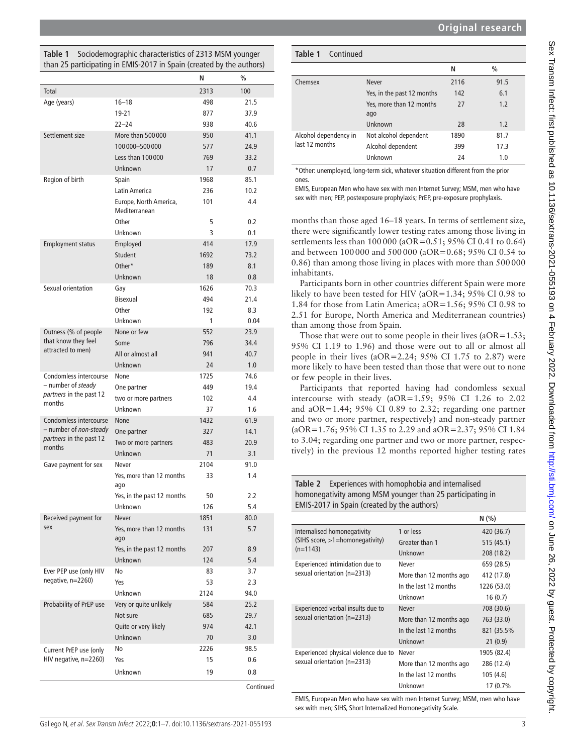## <span id="page-2-0"></span>**Table 1** Sociodemographic characteristics of 2313 MSM younger than 25 participating in EMIS-2017 in Spain (created by the authors)

|                                             |                                         | N    | $\frac{0}{0}$ |
|---------------------------------------------|-----------------------------------------|------|---------------|
| Total                                       |                                         | 2313 | 100           |
| Age (years)                                 | $16 - 18$                               | 498  | 21.5          |
|                                             | $19 - 21$                               | 877  | 37.9          |
|                                             | $22 - 24$                               | 938  | 40.6          |
| Settlement size                             | More than 500000                        | 950  | 41.1          |
|                                             | 100 000 - 500 000                       | 577  | 24.9          |
|                                             | Less than 100 000                       | 769  | 33.2          |
|                                             | Unknown                                 | 17   | 0.7           |
| Region of birth                             | Spain                                   | 1968 | 85.1          |
|                                             | Latin America                           | 236  | 10.2          |
|                                             | Europe, North America,<br>Mediterranean | 101  | 4.4           |
|                                             | Other                                   | 5    | 0.2           |
|                                             | Unknown                                 | 3    | 0.1           |
| <b>Employment status</b>                    | Employed                                | 414  | 17.9          |
|                                             | Student                                 | 1692 | 73.2          |
|                                             | Other*                                  | 189  | 8.1           |
|                                             | Unknown                                 | 18   | 0.8           |
| Sexual orientation                          | Gay                                     | 1626 | 70.3          |
|                                             | <b>Bisexual</b>                         | 494  | 21.4          |
|                                             | Other                                   | 192  | 8.3           |
|                                             | Unknown                                 | 1    | 0.04          |
| Outness (% of people                        | None or few                             | 552  | 23.9          |
| that know they feel                         | Some                                    | 796  | 34.4          |
| attracted to men)                           | All or almost all                       | 941  | 40.7          |
|                                             | Unknown                                 | 24   | 1.0           |
| Condomless intercourse                      | None                                    | 1725 | 74.6          |
| - number of steady                          | One partner                             | 449  | 19.4          |
| partners in the past 12<br>months           | two or more partners                    | 102  | 4.4           |
|                                             | Unknown                                 | 37   | 1.6           |
| Condomless intercourse                      | None                                    | 1432 | 61.9          |
| - number of <i>non-steady</i>               | One partner                             | 327  | 14.1          |
| partners in the past 12<br>months           | Two or more partners                    | 483  | 20.9          |
|                                             | Unknown                                 | 71   | 3.1           |
| Gave payment for sex                        | Never                                   | 2104 | 91.0          |
|                                             | Yes, more than 12 months<br>ago         | 33   | 1.4           |
|                                             | Yes, in the past 12 months              | 50   | 2.2           |
|                                             | Unknown                                 | 126  | 5.4           |
| Received payment for<br>sex                 | <b>Never</b>                            | 1851 | 80.0          |
|                                             | Yes, more than 12 months<br>ago         | 131  | 5.7           |
|                                             | Yes, in the past 12 months              | 207  | 8.9           |
|                                             | <b>Unknown</b>                          | 124  | 5.4           |
| Ever PEP use (only HIV<br>negative, n=2260) | No                                      | 83   | 3.7           |
|                                             | Yes                                     | 53   | 2.3           |
|                                             | Unknown                                 | 2124 | 94.0          |
| Probability of PrEP use                     | Very or quite unlikely                  | 584  | 25.2          |
|                                             | Not sure                                | 685  | 29.7          |
|                                             | Quite or very likely                    | 974  | 42.1          |
|                                             | Unknown                                 | 70   | 3.0           |
| Current PrEP use (only                      | No                                      | 2226 | 98.5          |
| HIV negative, n=2260)                       | Yes                                     | 15   | 0.6           |
|                                             | Unknown                                 | 19   | 0.8           |
|                                             |                                         |      | Continued     |

| <b>Table 1</b> Continued                |                                 |      |      |
|-----------------------------------------|---------------------------------|------|------|
|                                         |                                 | N    | $\%$ |
| Chemsex                                 | <b>Never</b>                    | 2116 | 91.5 |
|                                         | Yes, in the past 12 months      | 142  | 6.1  |
|                                         | Yes, more than 12 months<br>ago | 27   | 1.2  |
|                                         | Unknown                         | 28   | 1.2  |
| Alcohol dependency in<br>last 12 months | Not alcohol dependent           | 1890 | 81.7 |
|                                         | Alcohol dependent               | 399  | 17.3 |
|                                         | Unknown                         | 24   | 1.0  |

\*Other: unemployed, long-term sick, whatever situation different from the prior ones.

EMIS, European Men who have sex with men Internet Survey; MSM, men who have sex with men; PEP, postexposure prophylaxis; PrEP, pre-exposure prophylaxis.

months than those aged 16–18 years. In terms of settlement size, there were significantly lower testing rates among those living in settlements less than 100 000 (aOR=0.51; 95% CI 0.41 to 0.64) and between 100000 and 500000 (aOR=0.68; 95% CI 0.54 to 0.86) than among those living in places with more than 500000 inhabitants.

Participants born in other countries different Spain were more likely to have been tested for HIV (aOR=1.34; 95% CI 0.98 to 1.84 for those from Latin America; aOR=1.56; 95% CI 0.98 to 2.51 for Europe, North America and Mediterranean countries) than among those from Spain.

Those that were out to some people in their lives  $(aOR=1.53;$ 95% CI 1.19 to 1.96) and those were out to all or almost all people in their lives (aOR=2.24; 95% CI 1.75 to 2.87) were more likely to have been tested than those that were out to none or few people in their lives.

Participants that reported having had condomless sexual intercourse with steady (aOR=1.59; 95% CI 1.26 to 2.02 and aOR=1.44; 95% CI 0.89 to 2.32; regarding one partner and two or more partner, respectively) and non-steady partner (aOR=1.76; 95% CI 1.35 to 2.29 and aOR=2.37; 95% CI 1.84 to 3.04; regarding one partner and two or more partner, respectively) in the previous 12 months reported higher testing rates

<span id="page-2-1"></span>**Table 2** Experiences with homophobia and internalised homonegativity among MSM younger than 25 participating in EMIS-2017 in Spain (created by the authors)

|                                                                     |                         | N(%)        |
|---------------------------------------------------------------------|-------------------------|-------------|
| Internalised homonegativity                                         | 1 or less               | 420 (36.7)  |
| (SIHS score, >1=homonegativity)                                     | Greater than 1          | 515(45.1)   |
| $(n=1143)$                                                          | Unknown                 | 208 (18.2)  |
| Experienced intimidation due to                                     | Never                   | 659 (28.5)  |
| sexual orientation (n=2313)                                         | More than 12 months ago | 412 (17.8)  |
|                                                                     | In the last 12 months   | 1226 (53.0) |
|                                                                     | Unknown                 | 16(0.7)     |
| Experienced verbal insults due to<br>sexual orientation (n=2313)    | <b>Never</b>            | 708 (30.6)  |
|                                                                     | More than 12 months ago | 763 (33.0)  |
|                                                                     | In the last 12 months   | 821 (35.5%  |
|                                                                     | Unknown                 | 21(0.9)     |
| Experienced physical violence due to<br>sexual orientation (n=2313) | Never                   | 1905 (82.4) |
|                                                                     | More than 12 months ago | 286 (12.4)  |
|                                                                     | In the last 12 months   | 105 (4.6)   |
|                                                                     | Unknown                 | 17 (0.7%    |

EMIS, European Men who have sex with men Internet Survey; MSM, men who have sex with men; SIHS, Short Internalized Homonegativity Scale.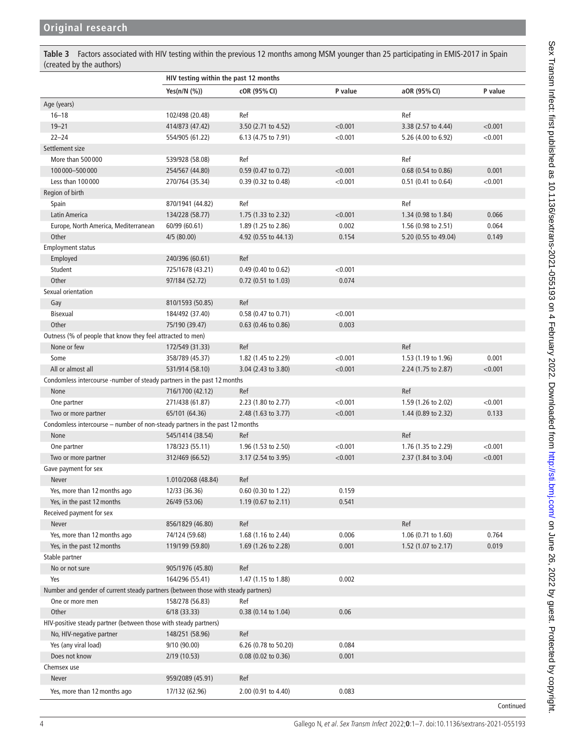<span id="page-3-0"></span>**Table 3** Factors associated with HIV testing within the previous 12 months among MSM younger than 25 participating in EMIS-2017 in Spain (created by the authors)

|                                                                                   | HIV testing within the past 12 months |                       |         |                      |           |
|-----------------------------------------------------------------------------------|---------------------------------------|-----------------------|---------|----------------------|-----------|
|                                                                                   | Yes(n/N (%))                          | cOR (95% CI)          | P value | aOR (95% CI)         | P value   |
| Age (years)                                                                       |                                       |                       |         |                      |           |
| $16 - 18$                                                                         | 102/498 (20.48)                       | Ref                   |         | Ref                  |           |
| $19 - 21$                                                                         | 414/873 (47.42)                       | 3.50 (2.71 to 4.52)   | < 0.001 | 3.38 (2.57 to 4.44)  | < 0.001   |
| $22 - 24$                                                                         | 554/905 (61.22)                       | 6.13 (4.75 to 7.91)   | < 0.001 | 5.26 (4.00 to 6.92)  | < 0.001   |
| Settlement size                                                                   |                                       |                       |         |                      |           |
| More than 500000                                                                  | 539/928 (58.08)                       | Ref                   |         | Ref                  |           |
| 100 000 - 500 000                                                                 | 254/567 (44.80)                       | 0.59 (0.47 to 0.72)   | < 0.001 | 0.68 (0.54 to 0.86)  | 0.001     |
| Less than 100 000                                                                 | 270/764 (35.34)                       | 0.39 (0.32 to 0.48)   | < 0.001 | 0.51 (0.41 to 0.64)  | < 0.001   |
| Region of birth                                                                   |                                       |                       |         |                      |           |
| Spain                                                                             | 870/1941 (44.82)                      | Ref                   |         | Ref                  |           |
| Latin America                                                                     | 134/228 (58.77)                       | 1.75 (1.33 to 2.32)   | < 0.001 | 1.34 (0.98 to 1.84)  | 0.066     |
| Europe, North America, Mediterranean                                              | 60/99 (60.61)                         | 1.89 (1.25 to 2.86)   | 0.002   | 1.56 (0.98 to 2.51)  | 0.064     |
| Other                                                                             | 4/5 (80.00)                           | 4.92 (0.55 to 44.13)  | 0.154   | 5.20 (0.55 to 49.04) | 0.149     |
| <b>Employment status</b>                                                          |                                       |                       |         |                      |           |
| Employed                                                                          | 240/396 (60.61)                       | Ref                   |         |                      |           |
| Student                                                                           | 725/1678 (43.21)                      | 0.49 (0.40 to 0.62)   | < 0.001 |                      |           |
| Other                                                                             | 97/184 (52.72)                        | 0.72 (0.51 to 1.03)   | 0.074   |                      |           |
| Sexual orientation                                                                |                                       |                       |         |                      |           |
| Gay                                                                               | 810/1593 (50.85)                      | Ref                   |         |                      |           |
| <b>Bisexual</b>                                                                   | 184/492 (37.40)                       | 0.58 (0.47 to 0.71)   | < 0.001 |                      |           |
| Other                                                                             | 75/190 (39.47)                        | 0.63 (0.46 to 0.86)   | 0.003   |                      |           |
| Outness (% of people that know they feel attracted to men)                        |                                       |                       |         |                      |           |
| None or few                                                                       | 172/549 (31.33)                       | Ref                   |         | Ref                  |           |
| Some                                                                              | 358/789 (45.37)                       | 1.82 (1.45 to 2.29)   | < 0.001 | 1.53 (1.19 to 1.96)  | 0.001     |
| All or almost all                                                                 | 531/914 (58.10)                       | 3.04 (2.43 to 3.80)   | < 0.001 | 2.24 (1.75 to 2.87)  | < 0.001   |
| Condomless intercourse -number of steady partners in the past 12 months           |                                       |                       |         |                      |           |
| None                                                                              | 716/1700 (42.12)                      | Ref                   |         | Ref                  |           |
| One partner                                                                       | 271/438 (61.87)                       | 2.23 (1.80 to 2.77)   | < 0.001 | 1.59 (1.26 to 2.02)  | < 0.001   |
| Two or more partner                                                               | 65/101 (64.36)                        | 2.48 (1.63 to 3.77)   | < 0.001 | 1.44 (0.89 to 2.32)  | 0.133     |
| Condomless intercourse - number of non-steady partners in the past 12 months      |                                       |                       |         |                      |           |
| None                                                                              | 545/1414 (38.54)                      | Ref                   |         | Ref                  |           |
| One partner                                                                       | 178/323 (55.11)                       | 1.96 (1.53 to 2.50)   | < 0.001 | 1.76 (1.35 to 2.29)  | < 0.001   |
| Two or more partner                                                               | 312/469 (66.52)                       | 3.17 (2.54 to 3.95)   | < 0.001 | 2.37 (1.84 to 3.04)  | < 0.001   |
| Gave payment for sex                                                              |                                       |                       |         |                      |           |
| Never                                                                             | 1.010/2068 (48.84)                    | Ref                   |         |                      |           |
| Yes, more than 12 months ago                                                      | 12/33 (36.36)                         | 0.60 (0.30 to 1.22)   | 0.159   |                      |           |
| Yes, in the past 12 months                                                        | 26/49 (53.06)                         | 1.19 (0.67 to 2.11)   | 0.541   |                      |           |
| Received payment for sex                                                          |                                       |                       |         |                      |           |
| Never                                                                             | 856/1829 (46.80)                      | Ref                   |         | Ref                  |           |
| Yes, more than 12 months ago                                                      | 74/124 (59.68)                        | 1.68 (1.16 to 2.44)   | 0.006   | 1.06 (0.71 to 1.60)  | 0.764     |
| Yes, in the past 12 months                                                        | 119/199 (59.80)                       | 1.69 (1.26 to 2.28)   | 0.001   | 1.52 (1.07 to 2.17)  | 0.019     |
| Stable partner                                                                    |                                       |                       |         |                      |           |
| No or not sure                                                                    | 905/1976 (45.80)                      | Ref                   |         |                      |           |
| Yes                                                                               | 164/296 (55.41)                       | 1.47 (1.15 to 1.88)   | 0.002   |                      |           |
| Number and gender of current steady partners (between those with steady partners) |                                       |                       |         |                      |           |
| One or more men                                                                   | 158/278 (56.83)                       | Ref                   |         |                      |           |
| Other                                                                             | 6/18(33.33)                           | 0.38 (0.14 to 1.04)   | 0.06    |                      |           |
| HIV-positive steady partner (between those with steady partners)                  |                                       |                       |         |                      |           |
| No, HIV-negative partner                                                          | 148/251 (58.96)                       | Ref                   |         |                      |           |
| Yes (any viral load)                                                              | 9/10 (90.00)                          | 6.26 (0.78 to 50.20)  | 0.084   |                      |           |
| Does not know                                                                     | 2/19 (10.53)                          | $0.08$ (0.02 to 0.36) | 0.001   |                      |           |
| Chemsex use                                                                       |                                       |                       |         |                      |           |
| Never                                                                             | 959/2089 (45.91)                      | Ref                   |         |                      |           |
|                                                                                   |                                       |                       |         |                      |           |
| Yes, more than 12 months ago                                                      | 17/132 (62.96)                        | 2.00 (0.91 to 4.40)   | 0.083   |                      |           |
|                                                                                   |                                       |                       |         |                      | Continued |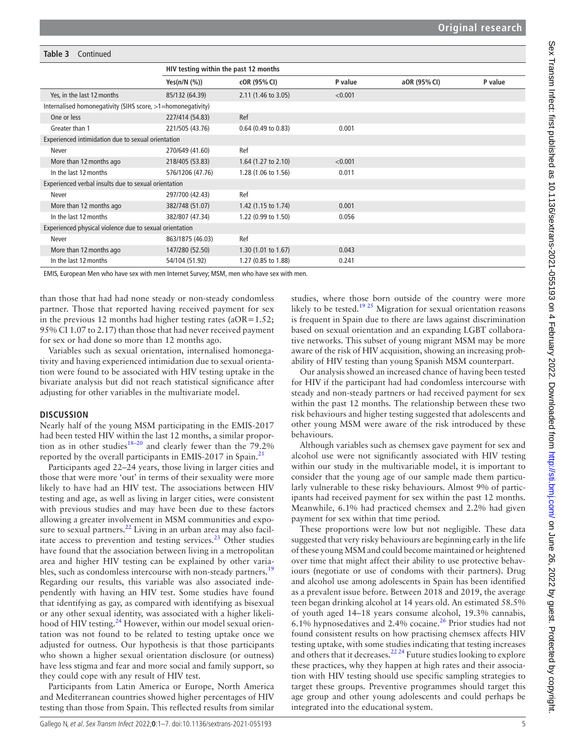#### **Table 3** Continued

|                                                             | HIV testing within the past 12 months |                       |         |              |         |  |
|-------------------------------------------------------------|---------------------------------------|-----------------------|---------|--------------|---------|--|
|                                                             | Yes $(n/N \ (%)$                      | cOR (95% CI)          | P value | aOR (95% CI) | P value |  |
| Yes, in the last 12 months                                  | 85/132 (64.39)                        | 2.11 (1.46 to 3.05)   | < 0.001 |              |         |  |
| Internalised homonegativity (SIHS score, >1=homonegativity) |                                       |                       |         |              |         |  |
| One or less                                                 | 227/414 (54.83)                       | Ref                   |         |              |         |  |
| Greater than 1                                              | 221/505 (43.76)                       | $0.64$ (0.49 to 0.83) | 0.001   |              |         |  |
| Experienced intimidation due to sexual orientation          |                                       |                       |         |              |         |  |
| Never                                                       | 270/649 (41.60)                       | Ref                   |         |              |         |  |
| More than 12 months ago                                     | 218/405 (53.83)                       | 1.64 $(1.27$ to 2.10) | < 0.001 |              |         |  |
| In the last 12 months                                       | 576/1206 (47.76)                      | 1.28 (1.06 to 1.56)   | 0.011   |              |         |  |
| Experienced verbal insults due to sexual orientation        |                                       |                       |         |              |         |  |
| Never                                                       | 297/700 (42.43)                       | Ref                   |         |              |         |  |
| More than 12 months ago                                     | 382/748 (51.07)                       | 1.42 (1.15 to 1.74)   | 0.001   |              |         |  |
| In the last 12 months                                       | 382/807 (47.34)                       | 1.22 (0.99 to 1.50)   | 0.056   |              |         |  |
| Experienced physical violence due to sexual orientation     |                                       |                       |         |              |         |  |
| Never                                                       | 863/1875 (46.03)                      | Ref                   |         |              |         |  |
| More than 12 months ago                                     | 147/280 (52.50)                       | 1.30(1.01 to 1.67)    | 0.043   |              |         |  |
| In the last 12 months                                       | 54/104 (51.92)                        | 1.27 (0.85 to 1.88)   | 0.241   |              |         |  |

EMIS, European Men who have sex with men Internet Survey; MSM, men who have sex with men.

than those that had had none steady or non-steady condomless partner. Those that reported having received payment for sex in the previous 12 months had higher testing rates ( $aOR=1.52$ ; 95% CI 1.07 to 2.17) than those that had never received payment for sex or had done so more than 12 months ago.

Variables such as sexual orientation, internalised homonegativity and having experienced intimidation due to sexual orientation were found to be associated with HIV testing uptake in the bivariate analysis but did not reach statistical significance after adjusting for other variables in the multivariate model.

### **DISCUSSION**

Nearly half of the young MSM participating in the EMIS-2017 had been tested HIV within the last 12 months, a similar proportion as in other studies<sup>18-20</sup> and clearly fewer than the 79.2% reported by the overall participants in EMIS-2017 in Spain.<sup>[21](#page-6-7)</sup>

Participants aged 22–24 years, those living in larger cities and those that were more 'out' in terms of their sexuality were more likely to have had an HIV test. The associations between HIV testing and age, as well as living in larger cities, were consistent with previous studies and may have been due to these factors allowing a greater involvement in MSM communities and exposure to sexual partners. $^{22}$  $^{22}$  $^{22}$  Living in an urban area may also facilitate access to prevention and testing services. $^{23}$  Other studies have found that the association between living in a metropolitan area and higher HIV testing can be explained by other varia-bles, such as condomless intercourse with non-steady partners.<sup>[19](#page-6-10)</sup> Regarding our results, this variable was also associated independently with having an HIV test. Some studies have found that identifying as gay, as compared with identifying as bisexual or any other sexual identity, was associated with a higher likeli-hood of HIV testing.<sup>[24](#page-6-11)</sup> However, within our model sexual orientation was not found to be related to testing uptake once we adjusted for outness. Our hypothesis is that those participants who shown a higher sexual orientation disclosure (or outness) have less stigma and fear and more social and family support, so they could cope with any result of HIV test.

Participants from Latin America or Europe, North America and Mediterranean countries showed higher percentages of HIV testing than those from Spain. This reflected results from similar likely to be tested.<sup>19 25</sup> Migration for sexual orientation reasons is frequent in Spain due to there are laws against discrimination based on sexual orientation and an expanding LGBT collaborative networks. This subset of young migrant MSM may be more aware of the risk of HIV acquisition, showing an increasing probability of HIV testing than young Spanish MSM counterpart. Our analysis showed an increased chance of having been tested

studies, where those born outside of the country were more

for HIV if the participant had had condomless intercourse with steady and non-steady partners or had received payment for sex within the past 12 months. The relationship between these two risk behaviours and higher testing suggested that adolescents and other young MSM were aware of the risk introduced by these behaviours.

Although variables such as chemsex gave payment for sex and alcohol use were not significantly associated with HIV testing within our study in the multivariable model, it is important to consider that the young age of our sample made them particularly vulnerable to these risky behaviours. Almost 9% of participants had received payment for sex within the past 12 months. Meanwhile, 6.1% had practiced chemsex and 2.2% had given payment for sex within that time period.

These proportions were low but not negligible. These data suggested that very risky behaviours are beginning early in the life of these young MSM and could become maintained or heightened over time that might affect their ability to use protective behaviours (negotiate or use of condoms with their partners). Drug and alcohol use among adolescents in Spain has been identified as a prevalent issue before. Between 2018 and 2019, the average teen began drinking alcohol at 14 years old. An estimated 58.5% of youth aged 14–18 years consume alcohol, 19.3% cannabis, 6.1% hypnosedatives and 2.4% cocaine.<sup>26</sup> Prior studies had not found consistent results on how practising chemsex affects HIV testing uptake, with some studies indicating that testing increases and others that it decreases.<sup>22 24</sup> Future studies looking to explore these practices, why they happen at high rates and their association with HIV testing should use specific sampling strategies to target these groups. Preventive programmes should target this age group and other young adolescents and could perhaps be integrated into the educational system.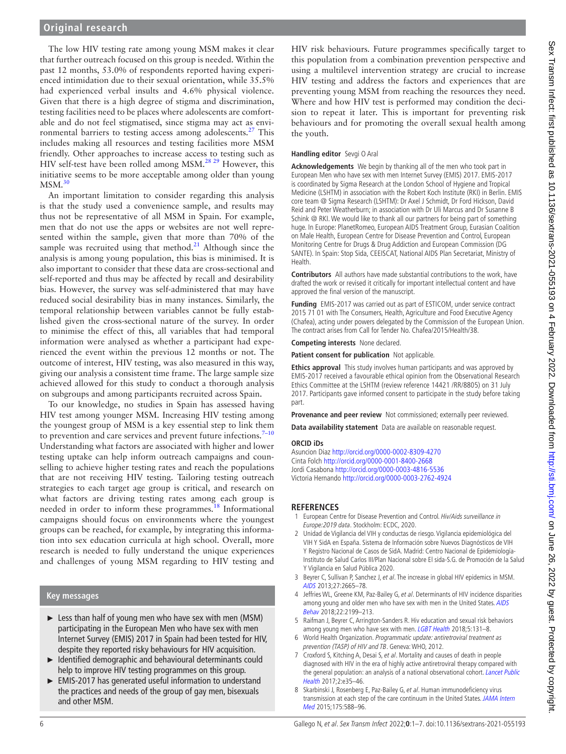The low HIV testing rate among young MSM makes it clear that further outreach focused on this group is needed. Within the past 12 months, 53.0% of respondents reported having experienced intimidation due to their sexual orientation, while 35.5% had experienced verbal insults and 4.6% physical violence. Given that there is a high degree of stigma and discrimination, testing facilities need to be places where adolescents are comfortable and do not feel stigmatised, since stigma may act as envi-ronmental barriers to testing access among adolescents.<sup>[27](#page-6-13)</sup> This includes making all resources and testing facilities more MSM friendly. Other approaches to increase access to testing such as HIV self-test have been rolled among MSM.<sup>[28 29](#page-6-14)</sup> However, this initiative seems to be more acceptable among older than young  $MSM.<sup>30</sup>$  $MSM.<sup>30</sup>$  $MSM.<sup>30</sup>$ 

An important limitation to consider regarding this analysis is that the study used a convenience sample, and results may thus not be representative of all MSM in Spain. For example, men that do not use the apps or websites are not well represented within the sample, given that more than 70% of the sample was recruited using that method. $21$  Although since the analysis is among young population, this bias is minimised. It is also important to consider that these data are cross-sectional and self-reported and thus may be affected by recall and desirability bias. However, the survey was self-administered that may have reduced social desirability bias in many instances. Similarly, the temporal relationship between variables cannot be fully established given the cross-sectional nature of the survey. In order to minimise the effect of this, all variables that had temporal information were analysed as whether a participant had experienced the event within the previous 12 months or not. The outcome of interest, HIV testing, was also measured in this way, giving our analysis a consistent time frame. The large sample size achieved allowed for this study to conduct a thorough analysis on subgroups and among participants recruited across Spain.

To our knowledge, no studies in Spain has assessed having HIV test among younger MSM. Increasing HIV testing among the youngest group of MSM is a key essential step to link them to prevention and care services and prevent future infections. $7-10$ Understanding what factors are associated with higher and lower testing uptake can help inform outreach campaigns and counselling to achieve higher testing rates and reach the populations that are not receiving HIV testing. Tailoring testing outreach strategies to each target age group is critical, and research on what factors are driving testing rates among each group is needed in order to inform these programmes.<sup>18</sup> Informational campaigns should focus on environments where the youngest groups can be reached, for example, by integrating this information into sex education curricula at high school. Overall, more research is needed to fully understand the unique experiences and challenges of young MSM regarding to HIV testing and

### **Key messages**

- ► Less than half of young men who have sex with men (MSM) participating in the European Men who have sex with men Internet Survey (EMIS) 2017 in Spain had been tested for HIV, despite they reported risky behaviours for HIV acquisition.
- ► Identified demographic and behavioural determinants could help to improve HIV testing programmes on this group.
- ► EMIS-2017 has generated useful information to understand the practices and needs of the group of gay men, bisexuals and other MSM.

HIV risk behaviours. Future programmes specifically target to this population from a combination prevention perspective and using a multilevel intervention strategy are crucial to increase HIV testing and address the factors and experiences that are preventing young MSM from reaching the resources they need. Where and how HIV test is performed may condition the decision to repeat it later. This is important for preventing risk behaviours and for promoting the overall sexual health among the youth.

#### **Handling editor** Sevgi O Aral

**Acknowledgements** We begin by thanking all of the men who took part in European Men who have sex with men Internet Survey (EMIS) 2017. EMIS-2017 is coordinated by Sigma Research at the London School of Hygiene and Tropical Medicine (LSHTM) in association with the Robert Koch Institute (RKI) in Berlin. EMIS core team @ Sigma Research (LSHTM): Dr Axel J Schmidt, Dr Ford Hickson, David Reid and Peter Weatherburn; in association with Dr Uli Marcus and Dr Susanne B Schink @ RKI. We would like to thank all our partners for being part of something huge. In Europe: PlanetRomeo, European AIDS Treatment Group, Eurasian Coalition on Male Health, European Centre for Disease Prevention and Control, European Monitoring Centre for Drugs & Drug Addiction and European Commission (DG SANTE). In Spain: Stop Sida, CEEISCAT, National AIDS Plan Secretariat, Ministry of Health.

**Contributors** All authors have made substantial contributions to the work, have drafted the work or revised it critically for important intellectual content and have approved the final version of the manuscript.

**Funding** EMIS-2017 was carried out as part of ESTICOM, under service contract 2015 71 01 with The Consumers, Health, Agriculture and Food Executive Agency (Chafea), acting under powers delegated by the Commission of the European Union. The contract arises from Call for Tender No. Chafea/2015/Health/38.

**Competing interests** None declared.

**Patient consent for publication** Not applicable.

**Ethics approval** This study involves human participants and was approved by EMIS-2017 received a favourable ethical opinion from the Observational Research Ethics Committee at the LSHTM (review reference 14421 /RR/8805) on 31 July 2017. Participants gave informed consent to participate in the study before taking part.

**Provenance and peer review** Not commissioned; externally peer reviewed.

**Data availability statement** Data are available on reasonable request.

#### **ORCID iDs**

Asuncion Diaz <http://orcid.org/0000-0002-8309-4270> Cinta Folch <http://orcid.org/0000-0001-8400-2668> Jordi Casabona<http://orcid.org/0000-0003-4816-5536> Victoria Hernando <http://orcid.org/0000-0003-2762-4924>

### **REFERENCES**

- <span id="page-5-0"></span>1 European Centre for Disease Prevention and Control. Hiv/Aids surveillance in Europe:2019 data. Stockholm: ECDC, 2020.
- <span id="page-5-1"></span>2 Unidad de Vigilancia del VIH y conductas de riesgo. Vigilancia epidemiológica del VIH Y SidA en España. Sistema de Información sobre Nuevos Diagnósticos de VIH Y Registro Nacional de Casos de SidA. Madrid: Centro Nacional de Epidemiología-Instituto de Salud Carlos III/Plan Nacional sobre El sida-S.G. de Promoción de la Salud Y Vigilancia en Salud Pública 2020.
- <span id="page-5-2"></span>3 Beyrer C, Sullivan P, Sanchez J, et al. The increase in global HIV epidemics in MSM. [AIDS](http://dx.doi.org/10.1097/01.aids.0000432449.30239.fe) 2013;27:2665–78.
- <span id="page-5-3"></span>4 Jeffries WL, Greene KM, Paz-Bailey G, et al. Determinants of HIV incidence disparities among young and older men who have sex with men in the United States. AIDS [Behav](http://dx.doi.org/10.1007/s10461-018-2088-3) 2018;22:2199–213.
- 5 Raifman J, Beyrer C, Arrington-Sanders R. Hiv education and sexual risk behaviors among young men who have sex with men. [LGBT Health](http://dx.doi.org/10.1089/lgbt.2017.0076) 2018;5:131-8.
- <span id="page-5-4"></span>6 World Health Organization. Programmatic update: antiretroviral treatment as prevention (TASP) of HIV and TB. Geneva: WHO, 2012.
- <span id="page-5-5"></span>7 Croxford S, Kitching A, Desai S, et al. Mortality and causes of death in people diagnosed with HIV in the era of highly active antiretroviral therapy compared with the general population: an analysis of a national observational cohort. Lancet Public [Health](http://dx.doi.org/10.1016/S2468-2667(16)30020-2) 2017;2:e35–46.
- <span id="page-5-6"></span>8 Skarbinski J, Rosenberg E, Paz-Bailey G, et al. Human immunodeficiency virus transmission at each step of the care continuum in the United States. JAMA Intern [Med](http://dx.doi.org/10.1001/jamainternmed.2014.8180) 2015;175:588–96.